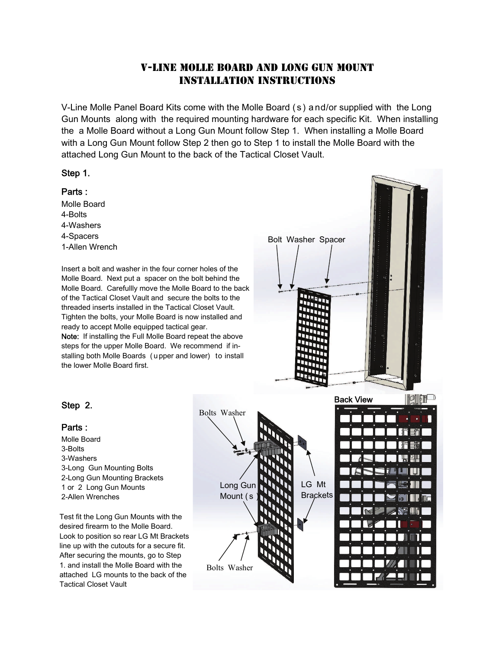# V-Line Molle Board and Long Gun Mount Installation Instructions

V-Line Molle Panel Board Kits come with the Molle Board ( s ) a nd/or supplied with the Long Gun Mounts along with the required mounting hardware for each specific Kit. When installing the a Molle Board without a Long Gun Mount follow Step 1. When installing a Molle Board with a Long Gun Mount follow Step 2 then go to Step 1 to install the Molle Board with the attached Long Gun Mount to the back of the Tactical Closet Vault.

#### Step 1.

#### Parts :

Molle Board 4-Bolts 4-Washers 4-Spacers 1-Allen Wrench

Insert a bolt and washer in the four corner holes of the Molle Board. Next put a spacer on the bolt behind the Molle Board. Carefullly move the Molle Board to the back of the Tactical Closet Vault and secure the bolts to the threaded inserts installed in the Tactical Closet Vault. Tighten the bolts, your Molle Board is now installed and ready to accept Molle equipped tactical gear. Note: If installing the Full Molle Board repeat the above steps for the upper Molle Board. We recommend if installing both Molle Boards ( u pper and lower) to install the lower Molle Board first.



## Step 2.

### Parts :

Molle Board 3-Bolts 3-Washers 3-Long Gun Mounting Bolts 2-Long Gun Mounting Brackets 1 or 2 Long Gun Mounts 2-Allen Wrenches

Test fit the Long Gun Mounts with the desired firearm to the Molle Board. Look to position so rear LG Mt Brackets line up with the cutouts for a secure fit. After securing the mounts, go to Step 1. and install the Molle Board with the attached LG mounts to the back of the Tactical Closet Vault